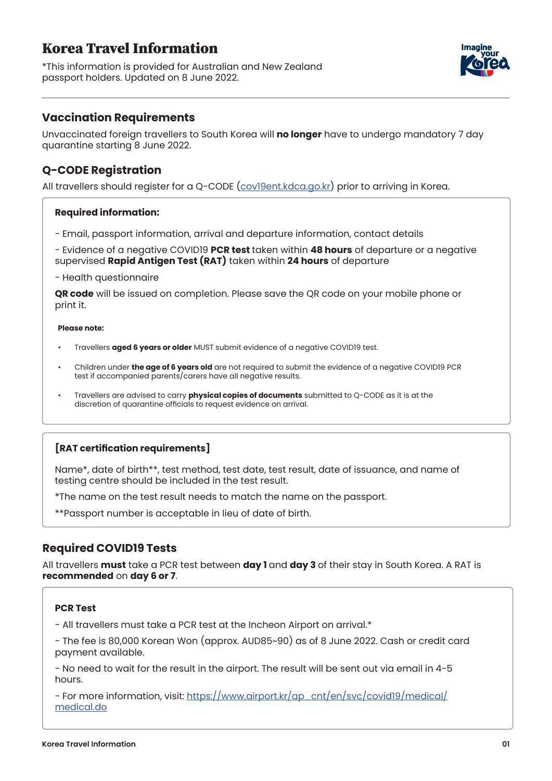# Korea Travel Information

\*This information is provided for Australian and New Zealand passport holders. Updated on 8 June 2022.



### **Vaccination Requirements**

Unvaccinated foreign travellers to South Korea will **no longer** have to undergo mandatory 7 day quarantine starting 8 June 2022.

## **Q-CODE Registration**

All travellers should register for a Q-CODE (cov19ent.kdca.go.kr) prior to arriving in Korea.

### **Required information:**

- Email, passport information, arrival and departure information, contact details

- Evidence of a negative COVID19 **PCR test** taken within **48 hours** of departure or a negative supervised **Rapid Antigen Test (RAT)** taken within **24 hours** of departure

- Health questionnaire

**QR code** will be issued on completion. Please save the QR code on your mobile phone or print it.

#### **Please note:**

- Travellers **aged 6 years or older** MUST submit evidence of a negative COVID19 test.
- Children under **the age of 6 years old** are not required to submit the evidence of a negative COVID19 PCR test if accompanied parents/carers have all negative results.
- Travellers are advised to carry **physical copies of documents** submitted to Q-CODE as it is at the discretion of quarantine officials to request evidence on arrival.

### **[RAT certification requirements]**

Name\*, date of birth\*\*, test method, test date, test result, date of issuance, and name of testing centre should be included in the test result.

\*The name on the test result needs to match the name on the passport.

\*\*Passport number is acceptable in lieu of date of birth.

### **Required COVID19 Tests**

All travellers **must** take a PCR test between **day 1** and **day 3** of their stay in South Korea. A RAT is **recommended** on **day 6 or 7**.

#### **PCR Test**

- All travellers must take a PCR test at the Incheon Airport on arrival.\*

- The fee is 80,000 Korean Won (approx. AUD85~90) as of 8 June 2022. Cash or credit card payment available.

- No need to wait for the result in the airport. The result will be sent out via email in 4-5 hours.

- For more information, visit: https://www.airport.kr/ap\_cnt/en/svc/covid19/medical/ medical.do